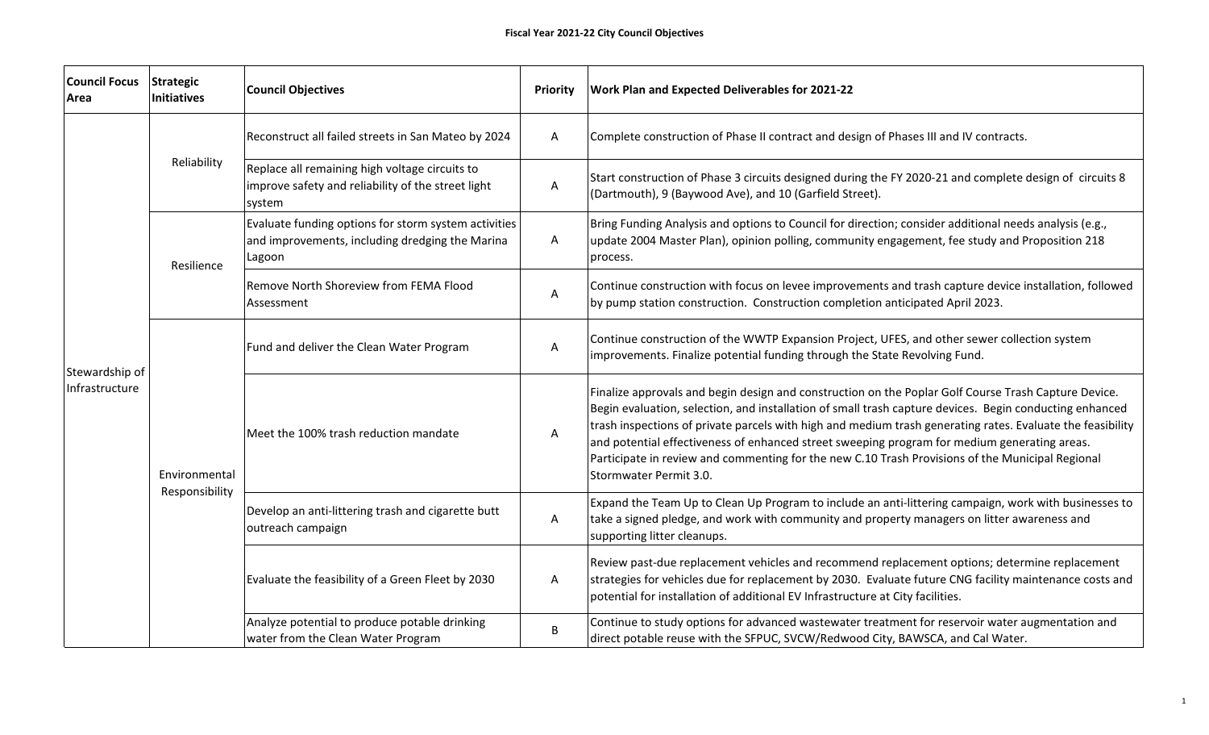| <b>Council Focus</b><br>Area     | <b>Strategic</b><br><b>Initiatives</b> | <b>Council Objectives</b>                                                                                         | Priority | <b>Work Plan and Expected Deliverables for 2021-22</b>                                                                                                                                                                                                                                                                                                                                                                                                                                                                                                       |
|----------------------------------|----------------------------------------|-------------------------------------------------------------------------------------------------------------------|----------|--------------------------------------------------------------------------------------------------------------------------------------------------------------------------------------------------------------------------------------------------------------------------------------------------------------------------------------------------------------------------------------------------------------------------------------------------------------------------------------------------------------------------------------------------------------|
| Stewardship of<br>Infrastructure | Reliability                            | Reconstruct all failed streets in San Mateo by 2024                                                               | Α        | Complete construction of Phase II contract and design of Phases III and IV contracts.                                                                                                                                                                                                                                                                                                                                                                                                                                                                        |
|                                  |                                        | Replace all remaining high voltage circuits to<br>improve safety and reliability of the street light<br>system    | A        | Start construction of Phase 3 circuits designed during the FY 2020-21 and complete design of circuits 8<br>(Dartmouth), 9 (Baywood Ave), and 10 (Garfield Street).                                                                                                                                                                                                                                                                                                                                                                                           |
|                                  | Resilience                             | Evaluate funding options for storm system activities<br>and improvements, including dredging the Marina<br>Lagoon | A        | Bring Funding Analysis and options to Council for direction; consider additional needs analysis (e.g.,<br>update 2004 Master Plan), opinion polling, community engagement, fee study and Proposition 218<br>process.                                                                                                                                                                                                                                                                                                                                         |
|                                  |                                        | Remove North Shoreview from FEMA Flood<br>Assessment                                                              | А        | Continue construction with focus on levee improvements and trash capture device installation, followed<br>by pump station construction. Construction completion anticipated April 2023.                                                                                                                                                                                                                                                                                                                                                                      |
|                                  | Environmental<br>Responsibility        | Fund and deliver the Clean Water Program                                                                          | Α        | Continue construction of the WWTP Expansion Project, UFES, and other sewer collection system<br>improvements. Finalize potential funding through the State Revolving Fund.                                                                                                                                                                                                                                                                                                                                                                                   |
|                                  |                                        | Meet the 100% trash reduction mandate                                                                             | Α        | Finalize approvals and begin design and construction on the Poplar Golf Course Trash Capture Device.<br>Begin evaluation, selection, and installation of small trash capture devices. Begin conducting enhanced<br>trash inspections of private parcels with high and medium trash generating rates. Evaluate the feasibility<br>and potential effectiveness of enhanced street sweeping program for medium generating areas.<br>Participate in review and commenting for the new C.10 Trash Provisions of the Municipal Regional<br>lStormwater Permit 3.0. |
|                                  |                                        | Develop an anti-littering trash and cigarette butt<br>outreach campaign                                           | Α        | Expand the Team Up to Clean Up Program to include an anti-littering campaign, work with businesses to<br>take a signed pledge, and work with community and property managers on litter awareness and<br>supporting litter cleanups.                                                                                                                                                                                                                                                                                                                          |
|                                  |                                        | Evaluate the feasibility of a Green Fleet by 2030                                                                 | Α        | Review past-due replacement vehicles and recommend replacement options; determine replacement<br>strategies for vehicles due for replacement by 2030. Evaluate future CNG facility maintenance costs and<br>potential for installation of additional EV Infrastructure at City facilities.                                                                                                                                                                                                                                                                   |
|                                  |                                        | Analyze potential to produce potable drinking<br>water from the Clean Water Program                               | B        | Continue to study options for advanced wastewater treatment for reservoir water augmentation and<br>direct potable reuse with the SFPUC, SVCW/Redwood City, BAWSCA, and Cal Water.                                                                                                                                                                                                                                                                                                                                                                           |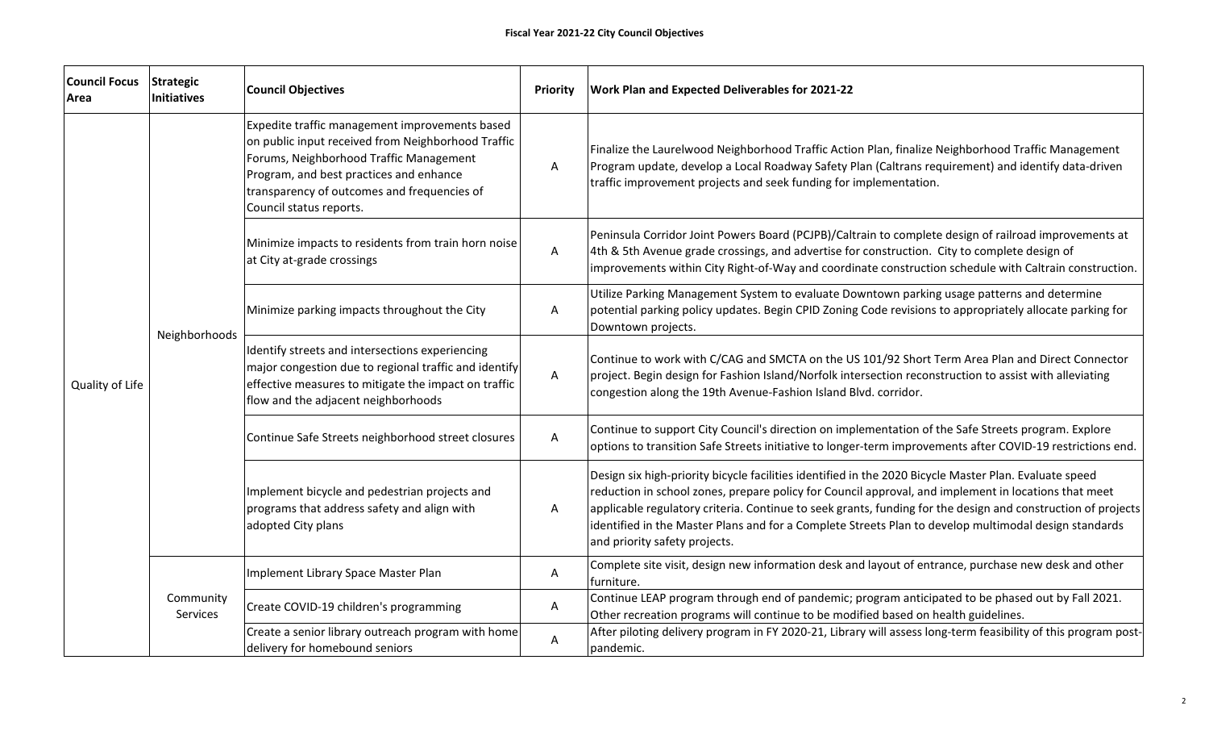| <b>Council Focus</b><br>Area | <b>Strategic</b><br>Initiatives | <b>Council Objectives</b>                                                                                                                                                                                                                                            | <b>Priority</b> | <b>Work Plan and Expected Deliverables for 2021-22</b>                                                                                                                                                                                                                                                                                                                                                                                                                   |
|------------------------------|---------------------------------|----------------------------------------------------------------------------------------------------------------------------------------------------------------------------------------------------------------------------------------------------------------------|-----------------|--------------------------------------------------------------------------------------------------------------------------------------------------------------------------------------------------------------------------------------------------------------------------------------------------------------------------------------------------------------------------------------------------------------------------------------------------------------------------|
| Quality of Life              | Neighborhoods                   | Expedite traffic management improvements based<br>on public input received from Neighborhood Traffic<br>Forums, Neighborhood Traffic Management<br>Program, and best practices and enhance<br>transparency of outcomes and frequencies of<br>Council status reports. | A               | Finalize the Laurelwood Neighborhood Traffic Action Plan, finalize Neighborhood Traffic Management<br>Program update, develop a Local Roadway Safety Plan (Caltrans requirement) and identify data-driven<br>traffic improvement projects and seek funding for implementation.                                                                                                                                                                                           |
|                              |                                 | Minimize impacts to residents from train horn noise<br>at City at-grade crossings                                                                                                                                                                                    | Α               | Peninsula Corridor Joint Powers Board (PCJPB)/Caltrain to complete design of railroad improvements at<br>4th & 5th Avenue grade crossings, and advertise for construction. City to complete design of<br>improvements within City Right-of-Way and coordinate construction schedule with Caltrain construction.                                                                                                                                                          |
|                              |                                 | Minimize parking impacts throughout the City                                                                                                                                                                                                                         | А               | Utilize Parking Management System to evaluate Downtown parking usage patterns and determine<br>potential parking policy updates. Begin CPID Zoning Code revisions to appropriately allocate parking for<br>Downtown projects.                                                                                                                                                                                                                                            |
|                              |                                 | Identify streets and intersections experiencing<br>major congestion due to regional traffic and identify<br>effective measures to mitigate the impact on traffic<br>flow and the adjacent neighborhoods                                                              | Α               | Continue to work with C/CAG and SMCTA on the US 101/92 Short Term Area Plan and Direct Connector<br>project. Begin design for Fashion Island/Norfolk intersection reconstruction to assist with alleviating<br>congestion along the 19th Avenue-Fashion Island Blvd. corridor.                                                                                                                                                                                           |
|                              |                                 | Continue Safe Streets neighborhood street closures                                                                                                                                                                                                                   | A               | Continue to support City Council's direction on implementation of the Safe Streets program. Explore<br>options to transition Safe Streets initiative to longer-term improvements after COVID-19 restrictions end.                                                                                                                                                                                                                                                        |
|                              |                                 | Implement bicycle and pedestrian projects and<br>programs that address safety and align with<br>adopted City plans                                                                                                                                                   | A               | Design six high-priority bicycle facilities identified in the 2020 Bicycle Master Plan. Evaluate speed<br>reduction in school zones, prepare policy for Council approval, and implement in locations that meet<br>applicable regulatory criteria. Continue to seek grants, funding for the design and construction of projects<br>identified in the Master Plans and for a Complete Streets Plan to develop multimodal design standards<br>and priority safety projects. |
|                              | Community<br>Services           | Implement Library Space Master Plan                                                                                                                                                                                                                                  | А               | Complete site visit, design new information desk and layout of entrance, purchase new desk and other<br>furniture.                                                                                                                                                                                                                                                                                                                                                       |
|                              |                                 | Create COVID-19 children's programming                                                                                                                                                                                                                               | A               | Continue LEAP program through end of pandemic; program anticipated to be phased out by Fall 2021.<br>Other recreation programs will continue to be modified based on health guidelines.                                                                                                                                                                                                                                                                                  |
|                              |                                 | Create a senior library outreach program with home<br>delivery for homebound seniors                                                                                                                                                                                 | A               | After piloting delivery program in FY 2020-21, Library will assess long-term feasibility of this program post-<br>pandemic.                                                                                                                                                                                                                                                                                                                                              |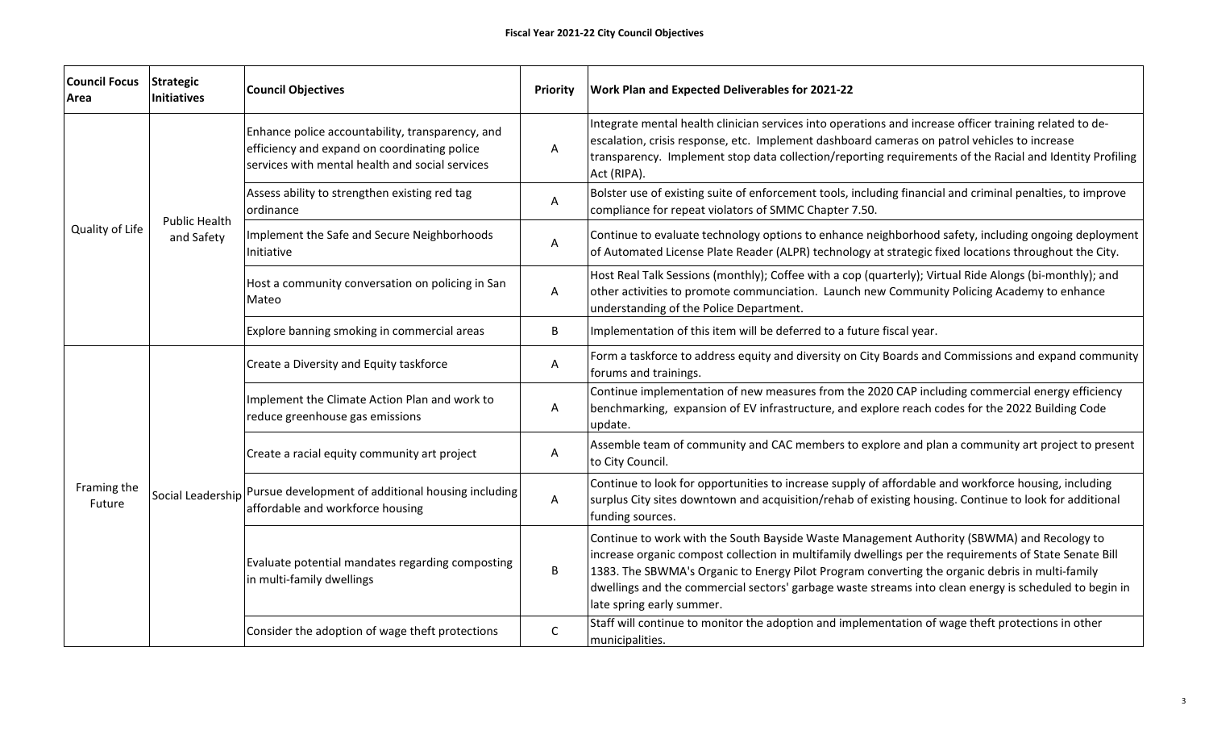| <b>Council Focus</b><br>Area | <b>Strategic</b><br>Initiatives    | <b>Council Objectives</b>                                                                                                                           | Priority | <b>Work Plan and Expected Deliverables for 2021-22</b>                                                                                                                                                                                                                                                                                                                                                                                         |
|------------------------------|------------------------------------|-----------------------------------------------------------------------------------------------------------------------------------------------------|----------|------------------------------------------------------------------------------------------------------------------------------------------------------------------------------------------------------------------------------------------------------------------------------------------------------------------------------------------------------------------------------------------------------------------------------------------------|
| Quality of Life              | <b>Public Health</b><br>and Safety | Enhance police accountability, transparency, and<br>efficiency and expand on coordinating police<br>services with mental health and social services | Α        | Integrate mental health clinician services into operations and increase officer training related to de-<br>escalation, crisis response, etc. Implement dashboard cameras on patrol vehicles to increase<br>transparency. Implement stop data collection/reporting requirements of the Racial and Identity Profiling<br>Act (RIPA).                                                                                                             |
|                              |                                    | Assess ability to strengthen existing red tag<br>ordinance                                                                                          | Α        | Bolster use of existing suite of enforcement tools, including financial and criminal penalties, to improve<br>compliance for repeat violators of SMMC Chapter 7.50.                                                                                                                                                                                                                                                                            |
|                              |                                    | Implement the Safe and Secure Neighborhoods<br>Initiative                                                                                           | Α        | Continue to evaluate technology options to enhance neighborhood safety, including ongoing deployment<br>of Automated License Plate Reader (ALPR) technology at strategic fixed locations throughout the City.                                                                                                                                                                                                                                  |
|                              |                                    | Host a community conversation on policing in San<br>Mateo                                                                                           | A        | Host Real Talk Sessions (monthly); Coffee with a cop (quarterly); Virtual Ride Alongs (bi-monthly); and<br>other activities to promote communciation. Launch new Community Policing Academy to enhance<br>understanding of the Police Department.                                                                                                                                                                                              |
|                              |                                    | Explore banning smoking in commercial areas                                                                                                         | B        | Implementation of this item will be deferred to a future fiscal year.                                                                                                                                                                                                                                                                                                                                                                          |
| Framing the<br>Future        |                                    | Create a Diversity and Equity taskforce                                                                                                             | А        | Form a taskforce to address equity and diversity on City Boards and Commissions and expand community<br>forums and trainings.                                                                                                                                                                                                                                                                                                                  |
|                              |                                    | Implement the Climate Action Plan and work to<br>reduce greenhouse gas emissions                                                                    | Α        | Continue implementation of new measures from the 2020 CAP including commercial energy efficiency<br>benchmarking, expansion of EV infrastructure, and explore reach codes for the 2022 Building Code<br>update.                                                                                                                                                                                                                                |
|                              |                                    | Create a racial equity community art project                                                                                                        | A        | Assemble team of community and CAC members to explore and plan a community art project to present<br>to City Council.                                                                                                                                                                                                                                                                                                                          |
|                              |                                    | Social Leadership Pursue development of additional housing including<br>affordable and workforce housing                                            | А        | Continue to look for opportunities to increase supply of affordable and workforce housing, including<br>surplus City sites downtown and acquisition/rehab of existing housing. Continue to look for additional<br>funding sources.                                                                                                                                                                                                             |
|                              |                                    | Evaluate potential mandates regarding composting<br>in multi-family dwellings                                                                       | B        | Continue to work with the South Bayside Waste Management Authority (SBWMA) and Recology to<br>increase organic compost collection in multifamily dwellings per the requirements of State Senate Bill<br>1383. The SBWMA's Organic to Energy Pilot Program converting the organic debris in multi-family<br>dwellings and the commercial sectors' garbage waste streams into clean energy is scheduled to begin in<br>late spring early summer. |
|                              |                                    | Consider the adoption of wage theft protections                                                                                                     | C        | Staff will continue to monitor the adoption and implementation of wage theft protections in other<br>municipalities.                                                                                                                                                                                                                                                                                                                           |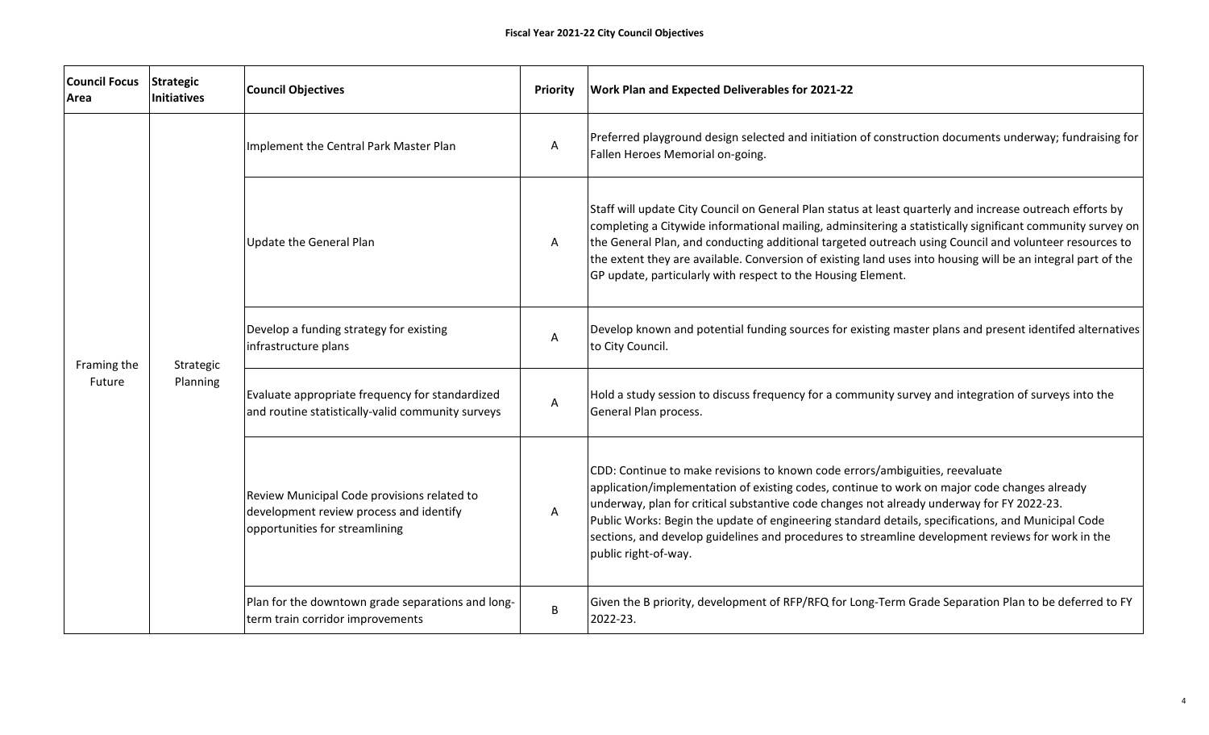| <b>Council Focus</b><br>Area | <b>Strategic</b><br><b>Initiatives</b> | <b>Council Objectives</b>                                                                                                | <b>Priority</b> | <b>Work Plan and Expected Deliverables for 2021-22</b>                                                                                                                                                                                                                                                                                                                                                                                                                                                            |
|------------------------------|----------------------------------------|--------------------------------------------------------------------------------------------------------------------------|-----------------|-------------------------------------------------------------------------------------------------------------------------------------------------------------------------------------------------------------------------------------------------------------------------------------------------------------------------------------------------------------------------------------------------------------------------------------------------------------------------------------------------------------------|
| Framing the<br>Future        | Strategic<br>Planning                  | Implement the Central Park Master Plan                                                                                   | A               | Preferred playground design selected and initiation of construction documents underway; fundraising for<br>Fallen Heroes Memorial on-going.                                                                                                                                                                                                                                                                                                                                                                       |
|                              |                                        | Update the General Plan                                                                                                  | A               | Staff will update City Council on General Plan status at least quarterly and increase outreach efforts by<br>completing a Citywide informational mailing, adminsitering a statistically significant community survey on<br>the General Plan, and conducting additional targeted outreach using Council and volunteer resources to<br>the extent they are available. Conversion of existing land uses into housing will be an integral part of the<br>GP update, particularly with respect to the Housing Element. |
|                              |                                        | Develop a funding strategy for existing<br>infrastructure plans                                                          | A               | Develop known and potential funding sources for existing master plans and present identifed alternatives<br>to City Council.                                                                                                                                                                                                                                                                                                                                                                                      |
|                              |                                        | Evaluate appropriate frequency for standardized<br>and routine statistically-valid community surveys                     | A               | Hold a study session to discuss frequency for a community survey and integration of surveys into the<br>General Plan process.                                                                                                                                                                                                                                                                                                                                                                                     |
|                              |                                        | Review Municipal Code provisions related to<br>development review process and identify<br>opportunities for streamlining | Α               | CDD: Continue to make revisions to known code errors/ambiguities, reevaluate<br>application/implementation of existing codes, continue to work on major code changes already<br>underway, plan for critical substantive code changes not already underway for FY 2022-23.<br>Public Works: Begin the update of engineering standard details, specifications, and Municipal Code<br>sections, and develop guidelines and procedures to streamline development reviews for work in the<br>public right-of-way.      |
|                              |                                        | Plan for the downtown grade separations and long-<br>term train corridor improvements                                    | B               | Given the B priority, development of RFP/RFQ for Long-Term Grade Separation Plan to be deferred to FY<br>2022-23.                                                                                                                                                                                                                                                                                                                                                                                                 |